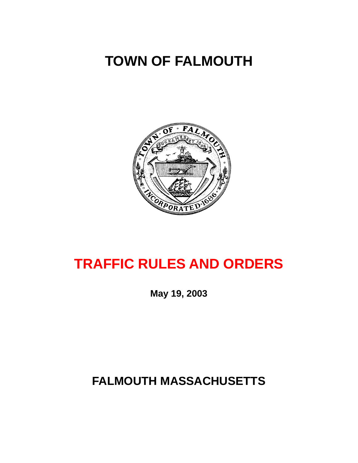# <span id="page-0-0"></span>**TOWN OF FALMOUTH**



# **TRAFFIC RULES AND ORDERS**

**May 19, 2003** 

# **FALMOUTH MASSACHUSETTS**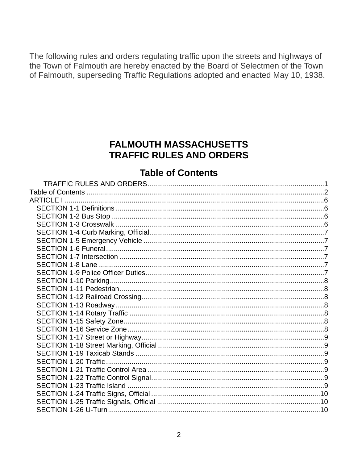<span id="page-1-0"></span>The following rules and orders regulating traffic upon the streets and highways of the Town of Falmouth are hereby enacted by the Board of Selectmen of the Town of Falmouth, superseding Traffic Regulations adopted and enacted May 10, 1938.

# **FALMOUTH MASSACHUSETTS TRAFFIC RULES AND ORDERS**

# **Table of Contents**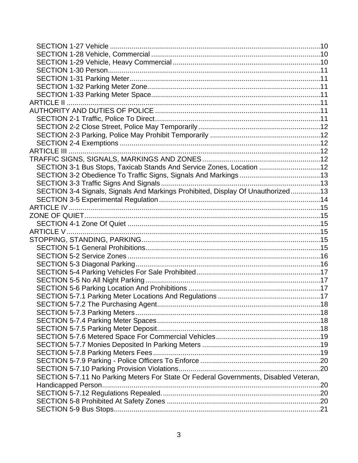| SECTION 3-1 Bus Stops, Taxicab Stands And Service Zones, Location 12                 |  |
|--------------------------------------------------------------------------------------|--|
|                                                                                      |  |
|                                                                                      |  |
| SECTION 3-4 Signals, Signals And Markings Prohibited, Display Of Unauthorized13      |  |
|                                                                                      |  |
|                                                                                      |  |
|                                                                                      |  |
|                                                                                      |  |
|                                                                                      |  |
|                                                                                      |  |
|                                                                                      |  |
|                                                                                      |  |
|                                                                                      |  |
|                                                                                      |  |
|                                                                                      |  |
|                                                                                      |  |
|                                                                                      |  |
|                                                                                      |  |
|                                                                                      |  |
|                                                                                      |  |
|                                                                                      |  |
|                                                                                      |  |
|                                                                                      |  |
|                                                                                      |  |
|                                                                                      |  |
|                                                                                      |  |
| SECTION 5-7.11 No Parking Meters For State Or Federal Governments, Disabled Veteran, |  |
|                                                                                      |  |
|                                                                                      |  |
|                                                                                      |  |
|                                                                                      |  |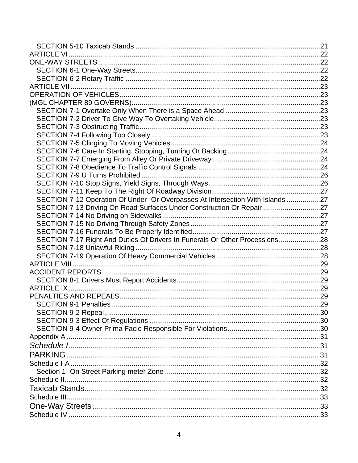| SECTION 7-12 Operation Of Under- Or Overpasses At Intersection With Islands 27 |  |
|--------------------------------------------------------------------------------|--|
| SECTION 7-13 Driving On Road Surfaces Under Construction Or Repair 27          |  |
|                                                                                |  |
|                                                                                |  |
|                                                                                |  |
| SECTION 7-17 Right And Duties Of Drivers In Funerals Or Other Processions28    |  |
|                                                                                |  |
|                                                                                |  |
|                                                                                |  |
|                                                                                |  |
|                                                                                |  |
|                                                                                |  |
|                                                                                |  |
|                                                                                |  |
|                                                                                |  |
|                                                                                |  |
|                                                                                |  |
|                                                                                |  |
|                                                                                |  |
|                                                                                |  |
|                                                                                |  |
|                                                                                |  |
|                                                                                |  |
|                                                                                |  |
|                                                                                |  |
|                                                                                |  |
|                                                                                |  |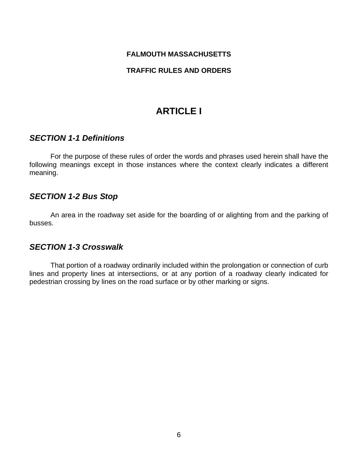#### <span id="page-5-0"></span>**FALMOUTH MASSACHUSETTS**

#### **TRAFFIC RULES AND ORDERS**

# **ARTICLE I**

#### *SECTION 1-1 Definitions*

 For the purpose of these rules of order the words and phrases used herein shall have the following meanings except in those instances where the context clearly indicates a different meaning.

#### *SECTION 1-2 Bus Stop*

 An area in the roadway set aside for the boarding of or alighting from and the parking of busses.

### *SECTION 1-3 Crosswalk*

 That portion of a roadway ordinarily included within the prolongation or connection of curb lines and property lines at intersections, or at any portion of a roadway clearly indicated for pedestrian crossing by lines on the road surface or by other marking or signs.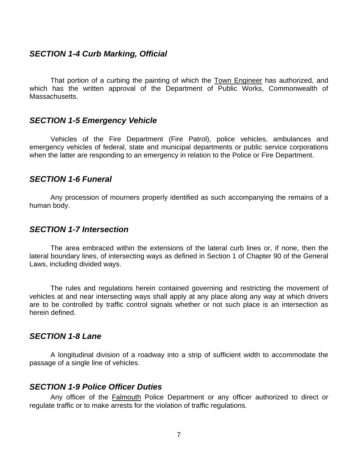#### <span id="page-6-0"></span>*SECTION 1-4 Curb Marking, Official*

That portion of a curbing the painting of which the Town Engineer has authorized, and which has the written approval of the Department of Public Works, Commonwealth of Massachusetts.

#### *SECTION 1-5 Emergency Vehicle*

 Vehicles of the Fire Department (Fire Patrol), police vehicles, ambulances and emergency vehicles of federal, state and municipal departments or public service corporations when the latter are responding to an emergency in relation to the Police or Fire Department.

#### *SECTION 1-6 Funeral*

 Any procession of mourners properly identified as such accompanying the remains of a human body.

#### *SECTION 1-7 Intersection*

 The area embraced within the extensions of the lateral curb lines or, if none, then the lateral boundary lines, of intersecting ways as defined in Section 1 of Chapter 90 of the General Laws, including divided ways.

 The rules and regulations herein contained governing and restricting the movement of vehicles at and near intersecting ways shall apply at any place along any way at which drivers are to be controlled by traffic control signals whether or not such place is an intersection as herein defined.

#### *SECTION 1-8 Lane*

 A longitudinal division of a roadway into a strip of sufficient width to accommodate the passage of a single line of vehicles.

#### *SECTION 1-9 Police Officer Duties*

 Any officer of the Falmouth Police Department or any officer authorized to direct or regulate traffic or to make arrests for the violation of traffic regulations.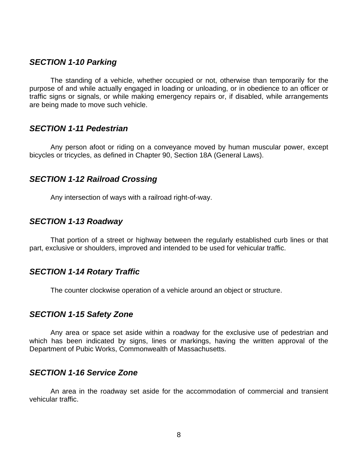#### <span id="page-7-0"></span>*SECTION 1-10 Parking*

 The standing of a vehicle, whether occupied or not, otherwise than temporarily for the purpose of and while actually engaged in loading or unloading, or in obedience to an officer or traffic signs or signals, or while making emergency repairs or, if disabled, while arrangements are being made to move such vehicle.

#### *SECTION 1-11 Pedestrian*

 Any person afoot or riding on a conveyance moved by human muscular power, except bicycles or tricycles, as defined in Chapter 90, Section 18A (General Laws).

#### *SECTION 1-12 Railroad Crossing*

Any intersection of ways with a railroad right-of-way.

#### *SECTION 1-13 Roadway*

 That portion of a street or highway between the regularly established curb lines or that part, exclusive or shoulders, improved and intended to be used for vehicular traffic.

#### *SECTION 1-14 Rotary Traffic*

The counter clockwise operation of a vehicle around an object or structure.

#### *SECTION 1-15 Safety Zone*

 Any area or space set aside within a roadway for the exclusive use of pedestrian and which has been indicated by signs, lines or markings, having the written approval of the Department of Pubic Works, Commonwealth of Massachusetts.

#### *SECTION 1-16 Service Zone*

 An area in the roadway set aside for the accommodation of commercial and transient vehicular traffic.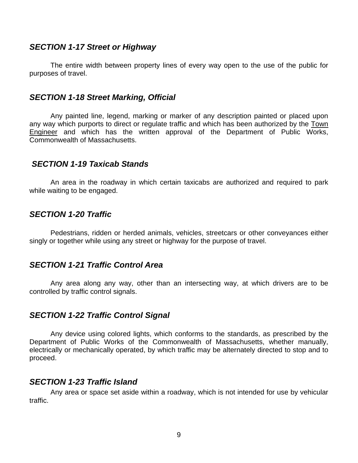#### <span id="page-8-0"></span>*SECTION 1-17 Street or Highway*

 The entire width between property lines of every way open to the use of the public for purposes of travel.

#### *SECTION 1-18 Street Marking, Official*

 Any painted line, legend, marking or marker of any description painted or placed upon any way which purports to direct or regulate traffic and which has been authorized by the Town Engineer and which has the written approval of the Department of Public Works, Commonwealth of Massachusetts.

#### *SECTION 1-19 Taxicab Stands*

 An area in the roadway in which certain taxicabs are authorized and required to park while waiting to be engaged.

#### *SECTION 1-20 Traffic*

 Pedestrians, ridden or herded animals, vehicles, streetcars or other conveyances either singly or together while using any street or highway for the purpose of travel.

#### *SECTION 1-21 Traffic Control Area*

 Any area along any way, other than an intersecting way, at which drivers are to be controlled by traffic control signals.

#### *SECTION 1-22 Traffic Control Signal*

 Any device using colored lights, which conforms to the standards, as prescribed by the Department of Public Works of the Commonwealth of Massachusetts, whether manually, electrically or mechanically operated, by which traffic may be alternately directed to stop and to proceed.

#### *SECTION 1-23 Traffic Island*

 Any area or space set aside within a roadway, which is not intended for use by vehicular traffic.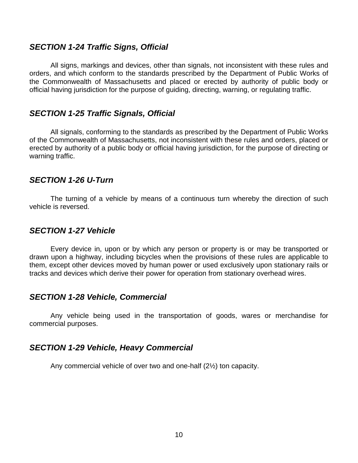#### <span id="page-9-0"></span>*SECTION 1-24 Traffic Signs, Official*

 All signs, markings and devices, other than signals, not inconsistent with these rules and orders, and which conform to the standards prescribed by the Department of Public Works of the Commonwealth of Massachusetts and placed or erected by authority of public body or official having jurisdiction for the purpose of guiding, directing, warning, or regulating traffic.

#### *SECTION 1-25 Traffic Signals, Official*

 All signals, conforming to the standards as prescribed by the Department of Public Works of the Commonwealth of Massachusetts, not inconsistent with these rules and orders, placed or erected by authority of a public body or official having jurisdiction, for the purpose of directing or warning traffic.

#### *SECTION 1-26 U-Turn*

 The turning of a vehicle by means of a continuous turn whereby the direction of such vehicle is reversed.

#### *SECTION 1-27 Vehicle*

 Every device in, upon or by which any person or property is or may be transported or drawn upon a highway, including bicycles when the provisions of these rules are applicable to them, except other devices moved by human power or used exclusively upon stationary rails or tracks and devices which derive their power for operation from stationary overhead wires.

#### *SECTION 1-28 Vehicle, Commercial*

 Any vehicle being used in the transportation of goods, wares or merchandise for commercial purposes.

#### *SECTION 1-29 Vehicle, Heavy Commercial*

Any commercial vehicle of over two and one-half (2½) ton capacity.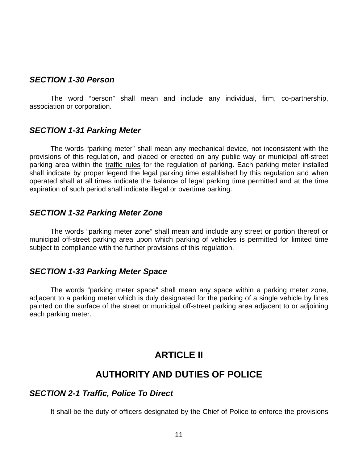#### <span id="page-10-0"></span>*SECTION 1-30 Person*

 The word "person" shall mean and include any individual, firm, co-partnership, association or corporation.

#### *SECTION 1-31 Parking Meter*

 The words "parking meter" shall mean any mechanical device, not inconsistent with the provisions of this regulation, and placed or erected on any public way or municipal off-street parking area within the traffic rules for the regulation of parking. Each parking meter installed shall indicate by proper legend the legal parking time established by this regulation and when operated shall at all times indicate the balance of legal parking time permitted and at the time expiration of such period shall indicate illegal or overtime parking.

#### *SECTION 1-32 Parking Meter Zone*

The words "parking meter zone" shall mean and include any street or portion thereof or municipal off-street parking area upon which parking of vehicles is permitted for limited time subject to compliance with the further provisions of this regulation.

#### *SECTION 1-33 Parking Meter Space*

The words "parking meter space" shall mean any space within a parking meter zone, adjacent to a parking meter which is duly designated for the parking of a single vehicle by lines painted on the surface of the street or municipal off-street parking area adjacent to or adjoining each parking meter.

# **ARTICLE II**

# **AUTHORITY AND DUTIES OF POLICE**

#### *SECTION 2-1 Traffic, Police To Direct*

It shall be the duty of officers designated by the Chief of Police to enforce the provisions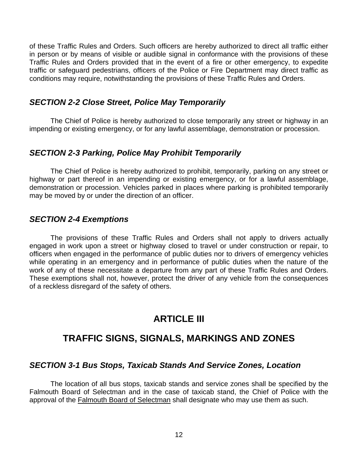<span id="page-11-0"></span>of these Traffic Rules and Orders. Such officers are hereby authorized to direct all traffic either in person or by means of visible or audible signal in conformance with the provisions of these Traffic Rules and Orders provided that in the event of a fire or other emergency, to expedite traffic or safeguard pedestrians, officers of the Police or Fire Department may direct traffic as conditions may require, notwithstanding the provisions of these Traffic Rules and Orders.

### *SECTION 2-2 Close Street, Police May Temporarily*

 The Chief of Police is hereby authorized to close temporarily any street or highway in an impending or existing emergency, or for any lawful assemblage, demonstration or procession.

### *SECTION 2-3 Parking, Police May Prohibit Temporarily*

 The Chief of Police is hereby authorized to prohibit, temporarily, parking on any street or highway or part thereof in an impending or existing emergency, or for a lawful assemblage, demonstration or procession. Vehicles parked in places where parking is prohibited temporarily may be moved by or under the direction of an officer.

### *SECTION 2-4 Exemptions*

 The provisions of these Traffic Rules and Orders shall not apply to drivers actually engaged in work upon a street or highway closed to travel or under construction or repair, to officers when engaged in the performance of public duties nor to drivers of emergency vehicles while operating in an emergency and in performance of public duties when the nature of the work of any of these necessitate a departure from any part of these Traffic Rules and Orders. These exemptions shall not, however, protect the driver of any vehicle from the consequences of a reckless disregard of the safety of others.

# **ARTICLE III**

# **TRAFFIC SIGNS, SIGNALS, MARKINGS AND ZONES**

### *SECTION 3-1 Bus Stops, Taxicab Stands And Service Zones, Location*

 The location of all bus stops, taxicab stands and service zones shall be specified by the Falmouth Board of Selectman and in the case of taxicab stand, the Chief of Police with the approval of the Falmouth Board of Selectman shall designate who may use them as such.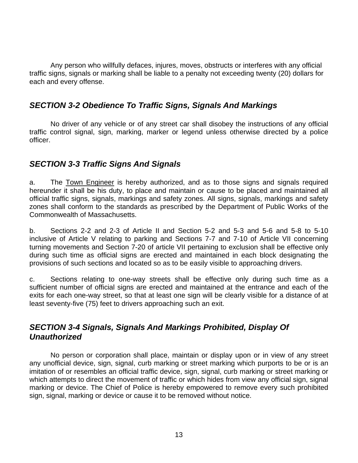<span id="page-12-0"></span> Any person who willfully defaces, injures, moves, obstructs or interferes with any official traffic signs, signals or marking shall be liable to a penalty not exceeding twenty (20) dollars for each and every offense.

### *SECTION 3-2 Obedience To Traffic Signs, Signals And Markings*

 No driver of any vehicle or of any street car shall disobey the instructions of any official traffic control signal, sign, marking, marker or legend unless otherwise directed by a police officer.

### *SECTION 3-3 Traffic Signs And Signals*

a. The Town Engineer is hereby authorized, and as to those signs and signals required hereunder it shall be his duty, to place and maintain or cause to be placed and maintained all official traffic signs, signals, markings and safety zones. All signs, signals, markings and safety zones shall conform to the standards as prescribed by the Department of Public Works of the Commonwealth of Massachusetts.

b. Sections 2-2 and 2-3 of Article II and Section 5-2 and 5-3 and 5-6 and 5-8 to 5-10 inclusive of Article V relating to parking and Sections 7-7 and 7-10 of Article VII concerning turning movements and Section 7-20 of article VII pertaining to exclusion shall be effective only during such time as official signs are erected and maintained in each block designating the provisions of such sections and located so as to be easily visible to approaching drivers.

c. Sections relating to one-way streets shall be effective only during such time as a sufficient number of official signs are erected and maintained at the entrance and each of the exits for each one-way street, so that at least one sign will be clearly visible for a distance of at least seventy-five (75) feet to drivers approaching such an exit.

### *SECTION 3-4 Signals, Signals And Markings Prohibited, Display Of Unauthorized*

 No person or corporation shall place, maintain or display upon or in view of any street any unofficial device, sign, signal, curb marking or street marking which purports to be or is an imitation of or resembles an official traffic device, sign, signal, curb marking or street marking or which attempts to direct the movement of traffic or which hides from view any official sign, signal marking or device. The Chief of Police is hereby empowered to remove every such prohibited sign, signal, marking or device or cause it to be removed without notice.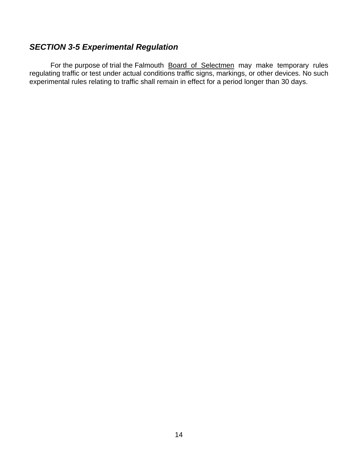# <span id="page-13-0"></span>*SECTION 3-5 Experimental Regulation*

For the purpose of trial the Falmouth Board of Selectmen may make temporary rules regulating traffic or test under actual conditions traffic signs, markings, or other devices. No such experimental rules relating to traffic shall remain in effect for a period longer than 30 days.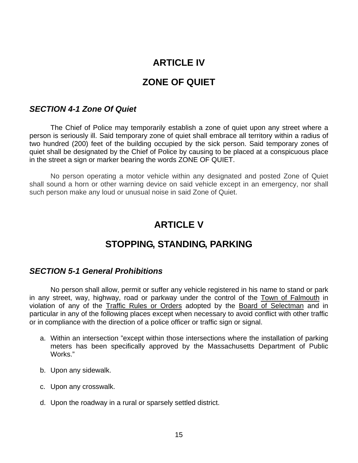# **ARTICLE IV**

# **ZONE OF QUIET**

#### <span id="page-14-0"></span>*SECTION 4-1 Zone Of Quiet*

 The Chief of Police may temporarily establish a zone of quiet upon any street where a person is seriously ill. Said temporary zone of quiet shall embrace all territory within a radius of two hundred (200) feet of the building occupied by the sick person. Said temporary zones of quiet shall be designated by the Chief of Police by causing to be placed at a conspicuous place in the street a sign or marker bearing the words ZONE OF QUIET.

No person operating a motor vehicle within any designated and posted Zone of Quiet shall sound a horn or other warning device on said vehicle except in an emergency, nor shall such person make any loud or unusual noise in said Zone of Quiet.

# **ARTICLE V**

# **STOPPING, STANDING, PARKING**

#### *SECTION 5-1 General Prohibitions*

 No person shall allow, permit or suffer any vehicle registered in his name to stand or park in any street, way, highway, road or parkway under the control of the Town of Falmouth in violation of any of the Traffic Rules or Orders adopted by the Board of Selectman and in particular in any of the following places except when necessary to avoid conflict with other traffic or in compliance with the direction of a police officer or traffic sign or signal.

- a. Within an intersection "except within those intersections where the installation of parking meters has been specifically approved by the Massachusetts Department of Public Works."
- b. Upon any sidewalk.
- c. Upon any crosswalk.
- d. Upon the roadway in a rural or sparsely settled district.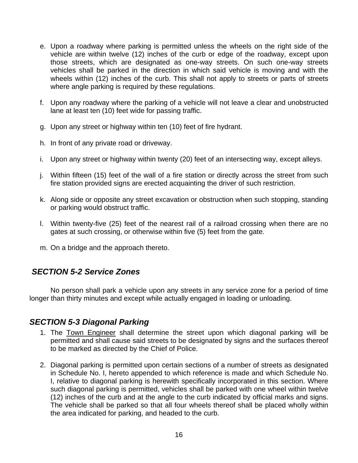- <span id="page-15-0"></span>e. Upon a roadway where parking is permitted unless the wheels on the right side of the vehicle are within twelve (12) inches of the curb or edge of the roadway, except upon those streets, which are designated as one-way streets. On such one-way streets vehicles shall be parked in the direction in which said vehicle is moving and with the wheels within (12) inches of the curb. This shall not apply to streets or parts of streets where angle parking is required by these regulations.
- f. Upon any roadway where the parking of a vehicle will not leave a clear and unobstructed lane at least ten (10) feet wide for passing traffic.
- g. Upon any street or highway within ten (10) feet of fire hydrant.
- h. In front of any private road or driveway.
- i. Upon any street or highway within twenty (20) feet of an intersecting way, except alleys.
- j. Within fifteen (15) feet of the wall of a fire station or directly across the street from such fire station provided signs are erected acquainting the driver of such restriction.
- k. Along side or opposite any street excavation or obstruction when such stopping, standing or parking would obstruct traffic.
- l. Within twenty-five (25) feet of the nearest rail of a railroad crossing when there are no gates at such crossing, or otherwise within five (5) feet from the gate.
- m. On a bridge and the approach thereto.

### *SECTION 5-2 Service Zones*

 No person shall park a vehicle upon any streets in any service zone for a period of time longer than thirty minutes and except while actually engaged in loading or unloading.

### *SECTION 5-3 Diagonal Parking*

- 1. The Town Engineer shall determine the street upon which diagonal parking will be permitted and shall cause said streets to be designated by signs and the surfaces thereof to be marked as directed by the Chief of Police.
- 2. Diagonal parking is permitted upon certain sections of a number of streets as designated in Schedule No. I, hereto appended to which reference is made and which Schedule No. I, relative to diagonal parking is herewith specifically incorporated in this section. Where such diagonal parking is permitted, vehicles shall be parked with one wheel within twelve (12) inches of the curb and at the angle to the curb indicated by official marks and signs. The vehicle shall be parked so that all four wheels thereof shall be placed wholly within the area indicated for parking, and headed to the curb.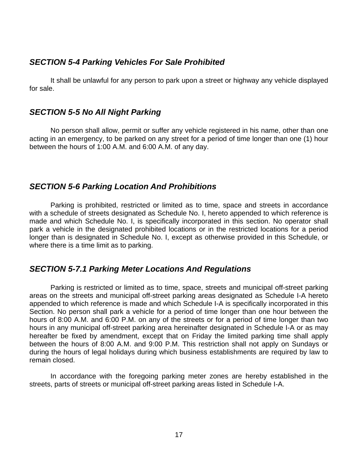### <span id="page-16-0"></span>*SECTION 5-4 Parking Vehicles For Sale Prohibited*

It shall be unlawful for any person to park upon a street or highway any vehicle displayed for sale.

### *SECTION 5-5 No All Night Parking*

No person shall allow, permit or suffer any vehicle registered in his name, other than one acting in an emergency, to be parked on any street for a period of time longer than one (1) hour between the hours of 1:00 A.M. and 6:00 A.M. of any day.

### *SECTION 5-6 Parking Location And Prohibitions*

Parking is prohibited, restricted or limited as to time, space and streets in accordance with a schedule of streets designated as Schedule No. I, hereto appended to which reference is made and which Schedule No. I, is specifically incorporated in this section. No operator shall park a vehicle in the designated prohibited locations or in the restricted locations for a period longer than is designated in Schedule No. I, except as otherwise provided in this Schedule, or where there is a time limit as to parking.

### *SECTION 5-7.1 Parking Meter Locations And Regulations*

Parking is restricted or limited as to time, space, streets and municipal off-street parking areas on the streets and municipal off-street parking areas designated as Schedule I-A hereto appended to which reference is made and which Schedule I-A is specifically incorporated in this Section. No person shall park a vehicle for a period of time longer than one hour between the hours of 8:00 A.M. and 6:00 P.M. on any of the streets or for a period of time longer than two hours in any municipal off-street parking area hereinafter designated in Schedule I-A or as may hereafter be fixed by amendment, except that on Friday the limited parking time shall apply between the hours of 8:00 A.M. and 9:00 P.M. This restriction shall not apply on Sundays or during the hours of legal holidays during which business establishments are required by law to remain closed.

 In accordance with the foregoing parking meter zones are hereby established in the streets, parts of streets or municipal off-street parking areas listed in Schedule I-A.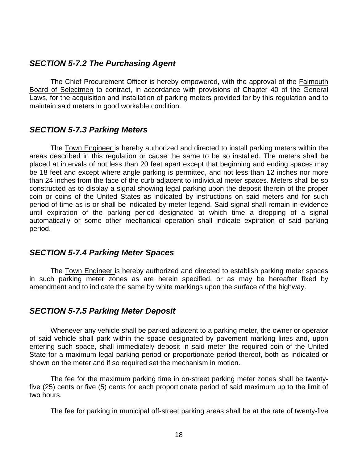### <span id="page-17-0"></span>*SECTION 5-7.2 The Purchasing Agent*

 The Chief Procurement Officer is hereby empowered, with the approval of the Falmouth Board of Selectmen to contract, in accordance with provisions of Chapter 40 of the General Laws, for the acquisition and installation of parking meters provided for by this regulation and to maintain said meters in good workable condition.

### *SECTION 5-7.3 Parking Meters*

 The Town Engineer is hereby authorized and directed to install parking meters within the areas described in this regulation or cause the same to be so installed. The meters shall be placed at intervals of not less than 20 feet apart except that beginning and ending spaces may be 18 feet and except where angle parking is permitted, and not less than 12 inches nor more than 24 inches from the face of the curb adjacent to individual meter spaces. Meters shall be so constructed as to display a signal showing legal parking upon the deposit therein of the proper coin or coins of the United States as indicated by instructions on said meters and for such period of time as is or shall be indicated by meter legend. Said signal shall remain in evidence until expiration of the parking period designated at which time a dropping of a signal automatically or some other mechanical operation shall indicate expiration of said parking period.

### *SECTION 5-7.4 Parking Meter Spaces*

The Town Engineer is hereby authorized and directed to establish parking meter spaces in such parking meter zones as are herein specified, or as may be hereafter fixed by amendment and to indicate the same by white markings upon the surface of the highway.

### *SECTION 5-7.5 Parking Meter Deposit*

Whenever any vehicle shall be parked adjacent to a parking meter, the owner or operator of said vehicle shall park within the space designated by pavement marking lines and, upon entering such space, shall immediately deposit in said meter the required coin of the United State for a maximum legal parking period or proportionate period thereof, both as indicated or shown on the meter and if so required set the mechanism in motion.

 The fee for the maximum parking time in on-street parking meter zones shall be twentyfive (25) cents or five (5) cents for each proportionate period of said maximum up to the limit of two hours.

The fee for parking in municipal off-street parking areas shall be at the rate of twenty-five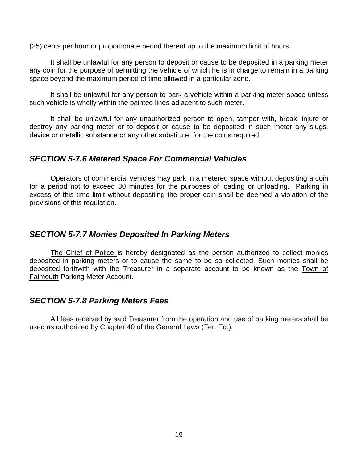<span id="page-18-0"></span>(25) cents per hour or proportionate period thereof up to the maximum limit of hours.

 It shall be unlawful for any person to deposit or cause to be deposited in a parking meter any coin for the purpose of permitting the vehicle of which he is in charge to remain in a parking space beyond the maximum period of time allowed in a particular zone.

 It shall be unlawful for any person to park a vehicle within a parking meter space unless such vehicle is wholly within the painted lines adjacent to such meter.

 It shall be unlawful for any unauthorized person to open, tamper with, break, injure or destroy any parking meter or to deposit or cause to be deposited in such meter any slugs, device or metallic substance or any other substitute for the coins required.

### *SECTION 5-7.6 Metered Space For Commercial Vehicles*

Operators of commercial vehicles may park in a metered space without depositing a coin for a period not to exceed 30 minutes for the purposes of loading or unloading. Parking in excess of this time limit without depositing the proper coin shall be deemed a violation of the provisions of this regulation.

### *SECTION 5-7.7 Monies Deposited In Parking Meters*

The Chief of Police is hereby designated as the person authorized to collect monies deposited in parking meters or to cause the same to be so collected. Such monies shall be deposited forthwith with the Treasurer in a separate account to be known as the Town of Falmouth Parking Meter Account.

### *SECTION 5-7.8 Parking Meters Fees*

All fees received by said Treasurer from the operation and use of parking meters shall be used as authorized by Chapter 40 of the General Laws (Ter. Ed.).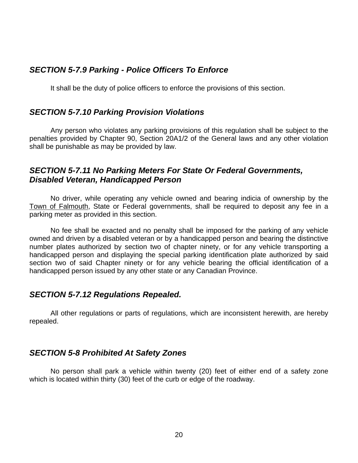### <span id="page-19-0"></span>*SECTION 5-7.9 Parking - Police Officers To Enforce*

It shall be the duty of police officers to enforce the provisions of this section.

#### *SECTION 5-7.10 Parking Provision Violations*

Any person who violates any parking provisions of this regulation shall be subject to the penalties provided by Chapter 90, Section 20A1/2 of the General laws and any other violation shall be punishable as may be provided by law.

### *SECTION 5-7.11 No Parking Meters For State Or Federal Governments, Disabled Veteran, Handicapped Person*

No driver, while operating any vehicle owned and bearing indicia of ownership by the Town of Falmouth, State or Federal governments, shall be required to deposit any fee in a parking meter as provided in this section.

 No fee shall be exacted and no penalty shall be imposed for the parking of any vehicle owned and driven by a disabled veteran or by a handicapped person and bearing the distinctive number plates authorized by section two of chapter ninety, or for any vehicle transporting a handicapped person and displaying the special parking identification plate authorized by said section two of said Chapter ninety or for any vehicle bearing the official identification of a handicapped person issued by any other state or any Canadian Province.

### *SECTION 5-7.12 Regulations Repealed.*

All other regulations or parts of regulations, which are inconsistent herewith, are hereby repealed.

### *SECTION 5-8 Prohibited At Safety Zones*

No person shall park a vehicle within twenty (20) feet of either end of a safety zone which is located within thirty (30) feet of the curb or edge of the roadway.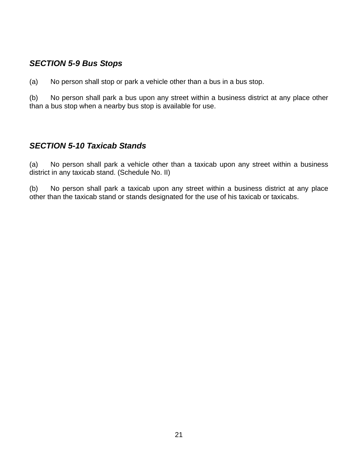# <span id="page-20-0"></span>*SECTION 5-9 Bus Stops*

(a) No person shall stop or park a vehicle other than a bus in a bus stop.

(b) No person shall park a bus upon any street within a business district at any place other than a bus stop when a nearby bus stop is available for use.

### *SECTION 5-10 Taxicab Stands*

(a) No person shall park a vehicle other than a taxicab upon any street within a business district in any taxicab stand. (Schedule No. II)

(b) No person shall park a taxicab upon any street within a business district at any place other than the taxicab stand or stands designated for the use of his taxicab or taxicabs.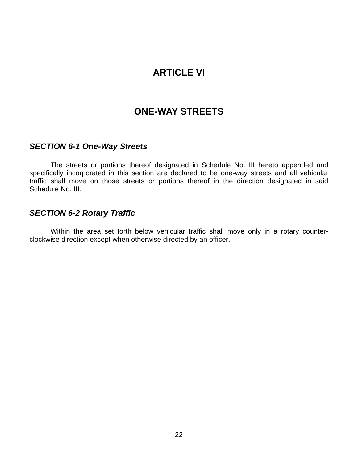# **ARTICLE VI**

# **ONE-WAY STREETS**

#### <span id="page-21-0"></span>*SECTION 6-1 One-Way Streets*

 The streets or portions thereof designated in Schedule No. III hereto appended and specifically incorporated in this section are declared to be one-way streets and all vehicular traffic shall move on those streets or portions thereof in the direction designated in said Schedule No. III.

### *SECTION 6-2 Rotary Traffic*

 Within the area set forth below vehicular traffic shall move only in a rotary counterclockwise direction except when otherwise directed by an officer.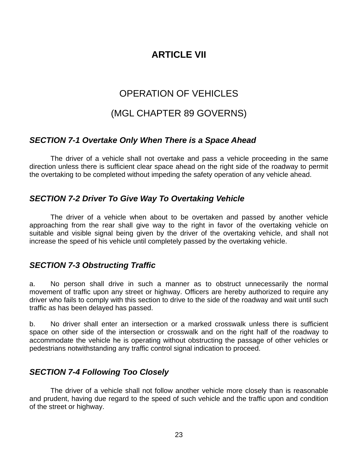# **ARTICLE VII**

# OPERATION OF VEHICLES

# (MGL CHAPTER 89 GOVERNS)

### <span id="page-22-0"></span>*SECTION 7-1 Overtake Only When There is a Space Ahead*

 The driver of a vehicle shall not overtake and pass a vehicle proceeding in the same direction unless there is sufficient clear space ahead on the right side of the roadway to permit the overtaking to be completed without impeding the safety operation of any vehicle ahead.

### *SECTION 7-2 Driver To Give Way To Overtaking Vehicle*

 The driver of a vehicle when about to be overtaken and passed by another vehicle approaching from the rear shall give way to the right in favor of the overtaking vehicle on suitable and visible signal being given by the driver of the overtaking vehicle, and shall not increase the speed of his vehicle until completely passed by the overtaking vehicle.

### *SECTION 7-3 Obstructing Traffic*

a. No person shall drive in such a manner as to obstruct unnecessarily the normal movement of traffic upon any street or highway. Officers are hereby authorized to require any driver who fails to comply with this section to drive to the side of the roadway and wait until such traffic as has been delayed has passed.

b. No driver shall enter an intersection or a marked crosswalk unless there is sufficient space on other side of the intersection or crosswalk and on the right half of the roadway to accommodate the vehicle he is operating without obstructing the passage of other vehicles or pedestrians notwithstanding any traffic control signal indication to proceed.

# *SECTION 7-4 Following Too Closely*

 The driver of a vehicle shall not follow another vehicle more closely than is reasonable and prudent, having due regard to the speed of such vehicle and the traffic upon and condition of the street or highway.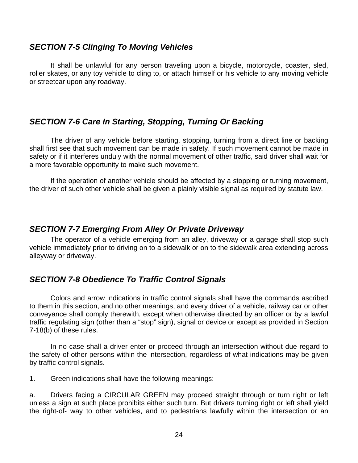#### <span id="page-23-0"></span>*SECTION 7-5 Clinging To Moving Vehicles*

 It shall be unlawful for any person traveling upon a bicycle, motorcycle, coaster, sled, roller skates, or any toy vehicle to cling to, or attach himself or his vehicle to any moving vehicle or streetcar upon any roadway.

### *SECTION 7-6 Care In Starting, Stopping, Turning Or Backing*

 The driver of any vehicle before starting, stopping, turning from a direct line or backing shall first see that such movement can be made in safety. If such movement cannot be made in safety or if it interferes unduly with the normal movement of other traffic, said driver shall wait for a more favorable opportunity to make such movement.

 If the operation of another vehicle should be affected by a stopping or turning movement, the driver of such other vehicle shall be given a plainly visible signal as required by statute law.

### *SECTION 7-7 Emerging From Alley Or Private Driveway*

 The operator of a vehicle emerging from an alley, driveway or a garage shall stop such vehicle immediately prior to driving on to a sidewalk or on to the sidewalk area extending across alleyway or driveway.

# *SECTION 7-8 Obedience To Traffic Control Signals*

 Colors and arrow indications in traffic control signals shall have the commands ascribed to them in this section, and no other meanings, and every driver of a vehicle, railway car or other conveyance shall comply therewith, except when otherwise directed by an officer or by a lawful traffic regulating sign (other than a "stop" sign), signal or device or except as provided in Section 7-18(b) of these rules.

 In no case shall a driver enter or proceed through an intersection without due regard to the safety of other persons within the intersection, regardless of what indications may be given by traffic control signals.

1. Green indications shall have the following meanings:

a. Drivers facing a CIRCULAR GREEN may proceed straight through or turn right or left unless a sign at such place prohibits either such turn. But drivers turning right or left shall yield the right-of- way to other vehicles, and to pedestrians lawfully within the intersection or an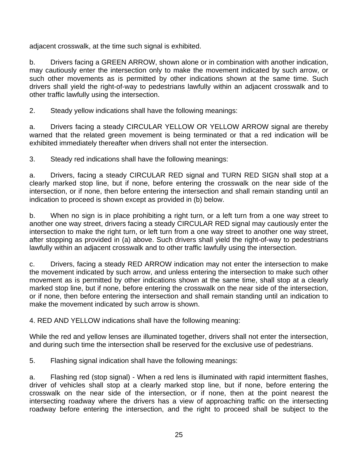adjacent crosswalk, at the time such signal is exhibited.

b. Drivers facing a GREEN ARROW, shown alone or in combination with another indication, may cautiously enter the intersection only to make the movement indicated by such arrow, or such other movements as is permitted by other indications shown at the same time. Such drivers shall yield the right-of-way to pedestrians lawfully within an adjacent crosswalk and to other traffic lawfully using the intersection.

2. Steady yellow indications shall have the following meanings:

a. Drivers facing a steady CIRCULAR YELLOW OR YELLOW ARROW signal are thereby warned that the related green movement is being terminated or that a red indication will be exhibited immediately thereafter when drivers shall not enter the intersection.

3. Steady red indications shall have the following meanings:

a. Drivers, facing a steady CIRCULAR RED signal and TURN RED SIGN shall stop at a clearly marked stop line, but if none, before entering the crosswalk on the near side of the intersection, or if none, then before entering the intersection and shall remain standing until an indication to proceed is shown except as provided in (b) below.

b. When no sign is in place prohibiting a right turn, or a left turn from a one way street to another one way street, drivers facing a steady CIRCULAR RED signal may cautiously enter the intersection to make the right turn, or left turn from a one way street to another one way street, after stopping as provided in (a) above. Such drivers shall yield the right-of-way to pedestrians lawfully within an adjacent crosswalk and to other traffic lawfully using the intersection.

c. Drivers, facing a steady RED ARROW indication may not enter the intersection to make the movement indicated by such arrow, and unless entering the intersection to make such other movement as is permitted by other indications shown at the same time, shall stop at a clearly marked stop line, but if none, before entering the crosswalk on the near side of the intersection, or if none, then before entering the intersection and shall remain standing until an indication to make the movement indicated by such arrow is shown.

4. RED AND YELLOW indications shall have the following meaning:

While the red and yellow lenses are illuminated together, drivers shall not enter the intersection, and during such time the intersection shall be reserved for the exclusive use of pedestrians.

5. Flashing signal indication shall have the following meanings:

a. Flashing red (stop signal) - When a red lens is illuminated with rapid intermittent flashes, driver of vehicles shall stop at a clearly marked stop line, but if none, before entering the crosswalk on the near side of the intersection, or if none, then at the point nearest the intersecting roadway where the drivers has a view of approaching traffic on the intersecting roadway before entering the intersection, and the right to proceed shall be subject to the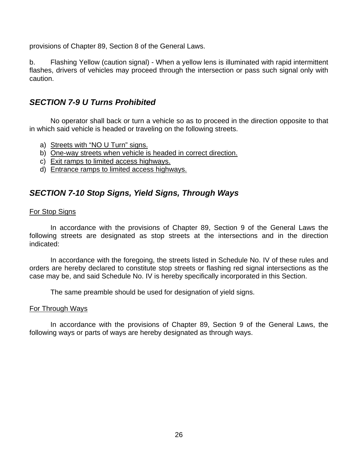<span id="page-25-0"></span>provisions of Chapter 89, Section 8 of the General Laws.

b. Flashing Yellow (caution signal) - When a yellow lens is illuminated with rapid intermittent flashes, drivers of vehicles may proceed through the intersection or pass such signal only with caution.

### *SECTION 7-9 U Turns Prohibited*

 No operator shall back or turn a vehicle so as to proceed in the direction opposite to that in which said vehicle is headed or traveling on the following streets.

- a) Streets with "NO U Turn" signs.
- b) One-way streets when vehicle is headed in correct direction.
- c) Exit ramps to limited access highways.
- d) Entrance ramps to limited access highways.

### *SECTION 7-10 Stop Signs, Yield Signs, Through Ways*

#### For Stop Signs

 In accordance with the provisions of Chapter 89, Section 9 of the General Laws the following streets are designated as stop streets at the intersections and in the direction indicated:

 In accordance with the foregoing, the streets listed in Schedule No. IV of these rules and orders are hereby declared to constitute stop streets or flashing red signal intersections as the case may be, and said Schedule No. IV is hereby specifically incorporated in this Section.

The same preamble should be used for designation of yield signs.

#### For Through Ways

 In accordance with the provisions of Chapter 89, Section 9 of the General Laws, the following ways or parts of ways are hereby designated as through ways.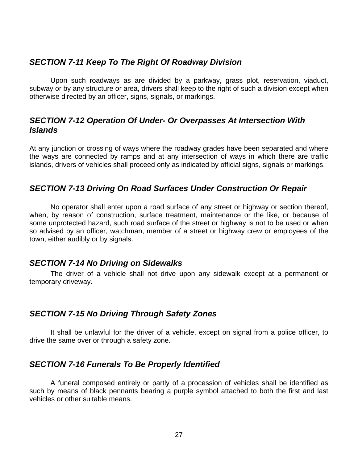### <span id="page-26-0"></span>*SECTION 7-11 Keep To The Right Of Roadway Division*

 Upon such roadways as are divided by a parkway, grass plot, reservation, viaduct, subway or by any structure or area, drivers shall keep to the right of such a division except when otherwise directed by an officer, signs, signals, or markings.

### *SECTION 7-12 Operation Of Under- Or Overpasses At Intersection With Islands*

At any junction or crossing of ways where the roadway grades have been separated and where the ways are connected by ramps and at any intersection of ways in which there are traffic islands, drivers of vehicles shall proceed only as indicated by official signs, signals or markings.

### *SECTION 7-13 Driving On Road Surfaces Under Construction Or Repair*

 No operator shall enter upon a road surface of any street or highway or section thereof, when, by reason of construction, surface treatment, maintenance or the like, or because of some unprotected hazard, such road surface of the street or highway is not to be used or when so advised by an officer, watchman, member of a street or highway crew or employees of the town, either audibly or by signals.

#### *SECTION 7-14 No Driving on Sidewalks*

 The driver of a vehicle shall not drive upon any sidewalk except at a permanent or temporary driveway.

### *SECTION 7-15 No Driving Through Safety Zones*

 It shall be unlawful for the driver of a vehicle, except on signal from a police officer, to drive the same over or through a safety zone.

# *SECTION 7-16 Funerals To Be Properly Identified*

 A funeral composed entirely or partly of a procession of vehicles shall be identified as such by means of black pennants bearing a purple symbol attached to both the first and last vehicles or other suitable means.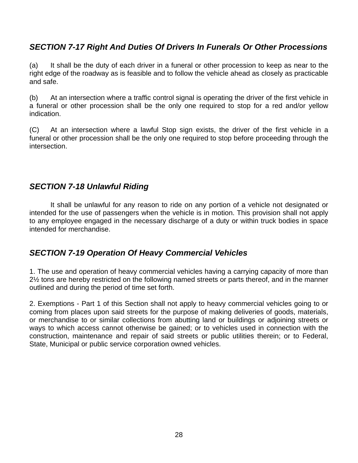# <span id="page-27-0"></span>*SECTION 7-17 Right And Duties Of Drivers In Funerals Or Other Processions*

(a) It shall be the duty of each driver in a funeral or other procession to keep as near to the right edge of the roadway as is feasible and to follow the vehicle ahead as closely as practicable and safe.

(b) At an intersection where a traffic control signal is operating the driver of the first vehicle in a funeral or other procession shall be the only one required to stop for a red and/or yellow indication.

(C) At an intersection where a lawful Stop sign exists, the driver of the first vehicle in a funeral or other procession shall be the only one required to stop before proceeding through the intersection.

### *SECTION 7-18 Unlawful Riding*

 It shall be unlawful for any reason to ride on any portion of a vehicle not designated or intended for the use of passengers when the vehicle is in motion. This provision shall not apply to any employee engaged in the necessary discharge of a duty or within truck bodies in space intended for merchandise.

# *SECTION 7-19 Operation Of Heavy Commercial Vehicles*

1. The use and operation of heavy commercial vehicles having a carrying capacity of more than 2½ tons are hereby restricted on the following named streets or parts thereof, and in the manner outlined and during the period of time set forth.

2. Exemptions - Part 1 of this Section shall not apply to heavy commercial vehicles going to or coming from places upon said streets for the purpose of making deliveries of goods, materials, or merchandise to or similar collections from abutting land or buildings or adjoining streets or ways to which access cannot otherwise be gained; or to vehicles used in connection with the construction, maintenance and repair of said streets or public utilities therein; or to Federal, State, Municipal or public service corporation owned vehicles.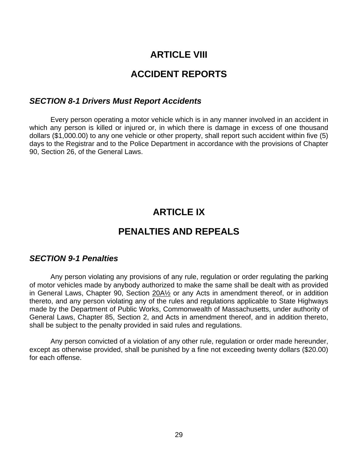# **ARTICLE VIII**

# **ACCIDENT REPORTS**

#### <span id="page-28-0"></span>*SECTION 8-1 Drivers Must Report Accidents*

 Every person operating a motor vehicle which is in any manner involved in an accident in which any person is killed or injured or, in which there is damage in excess of one thousand dollars (\$1,000.00) to any one vehicle or other property, shall report such accident within five (5) days to the Registrar and to the Police Department in accordance with the provisions of Chapter 90, Section 26, of the General Laws.

# **ARTICLE IX**

# **PENALTIES AND REPEALS**

#### *SECTION 9-1 Penalties*

 Any person violating any provisions of any rule, regulation or order regulating the parking of motor vehicles made by anybody authorized to make the same shall be dealt with as provided in General Laws, Chapter 90, Section 20A½ or any Acts in amendment thereof, or in addition thereto, and any person violating any of the rules and regulations applicable to State Highways made by the Department of Public Works, Commonwealth of Massachusetts, under authority of General Laws, Chapter 85, Section 2, and Acts in amendment thereof, and in addition thereto, shall be subject to the penalty provided in said rules and regulations.

 Any person convicted of a violation of any other rule, regulation or order made hereunder, except as otherwise provided, shall be punished by a fine not exceeding twenty dollars (\$20.00) for each offense.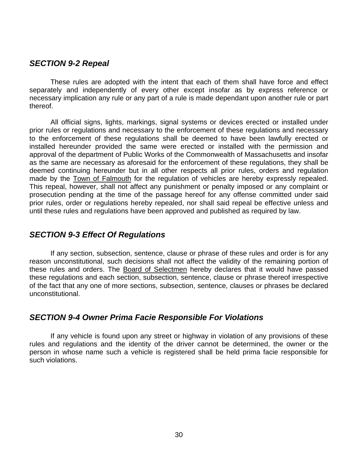#### <span id="page-29-0"></span>*SECTION 9-2 Repeal*

 These rules are adopted with the intent that each of them shall have force and effect separately and independently of every other except insofar as by express reference or necessary implication any rule or any part of a rule is made dependant upon another rule or part thereof.

 All official signs, lights, markings, signal systems or devices erected or installed under prior rules or regulations and necessary to the enforcement of these regulations and necessary to the enforcement of these regulations shall be deemed to have been lawfully erected or installed hereunder provided the same were erected or installed with the permission and approval of the department of Public Works of the Commonwealth of Massachusetts and insofar as the same are necessary as aforesaid for the enforcement of these regulations, they shall be deemed continuing hereunder but in all other respects all prior rules, orders and regulation made by the Town of Falmouth for the regulation of vehicles are hereby expressly repealed. This repeal, however, shall not affect any punishment or penalty imposed or any complaint or prosecution pending at the time of the passage hereof for any offense committed under said prior rules, order or regulations hereby repealed, nor shall said repeal be effective unless and until these rules and regulations have been approved and published as required by law.

#### *SECTION 9-3 Effect Of Regulations*

 If any section, subsection, sentence, clause or phrase of these rules and order is for any reason unconstitutional, such decisions shall not affect the validity of the remaining portion of these rules and orders. The Board of Selectmen hereby declares that it would have passed these regulations and each section, subsection, sentence, clause or phrase thereof irrespective of the fact that any one of more sections, subsection, sentence, clauses or phrases be declared unconstitutional.

#### *SECTION 9-4 Owner Prima Facie Responsible For Violations*

 If any vehicle is found upon any street or highway in violation of any provisions of these rules and regulations and the identity of the driver cannot be determined, the owner or the person in whose name such a vehicle is registered shall be held prima facie responsible for such violations.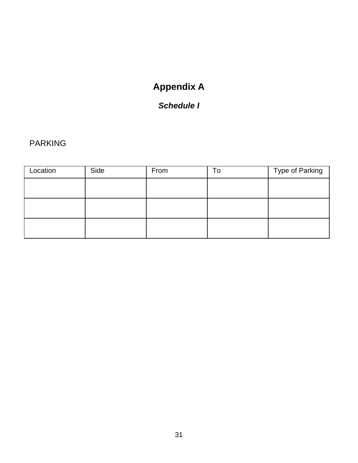# **Appendix A**

# *Schedule I*

# <span id="page-30-0"></span>PARKING

| Location | Side | From | To | Type of Parking |
|----------|------|------|----|-----------------|
|          |      |      |    |                 |
|          |      |      |    |                 |
|          |      |      |    |                 |
|          |      |      |    |                 |
|          |      |      |    |                 |
|          |      |      |    |                 |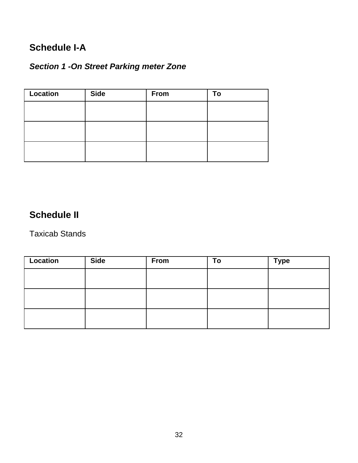# <span id="page-31-0"></span>**Schedule I-A**

# *Section 1 -On Street Parking meter Zone*

| <b>Location</b> | <b>Side</b> | <b>From</b> | To |
|-----------------|-------------|-------------|----|
|                 |             |             |    |
|                 |             |             |    |
|                 |             |             |    |
|                 |             |             |    |
|                 |             |             |    |
|                 |             |             |    |

# **Schedule II**

Taxicab Stands

| Location | <b>Side</b> | From | To | <b>Type</b> |
|----------|-------------|------|----|-------------|
|          |             |      |    |             |
|          |             |      |    |             |
|          |             |      |    |             |
|          |             |      |    |             |
|          |             |      |    |             |
|          |             |      |    |             |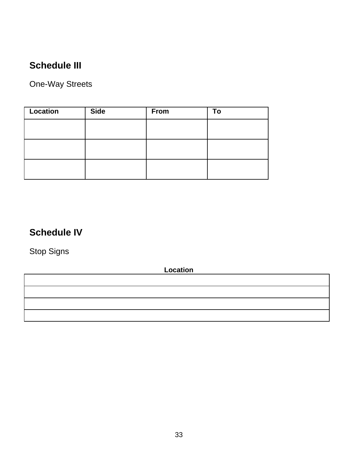# <span id="page-32-0"></span>**Schedule III**

One-Way Streets

| <b>Location</b> | <b>Side</b> | <b>From</b> | To |
|-----------------|-------------|-------------|----|
|                 |             |             |    |
|                 |             |             |    |
|                 |             |             |    |
|                 |             |             |    |
|                 |             |             |    |
|                 |             |             |    |

# **Schedule IV**

Stop Signs

**Location** 

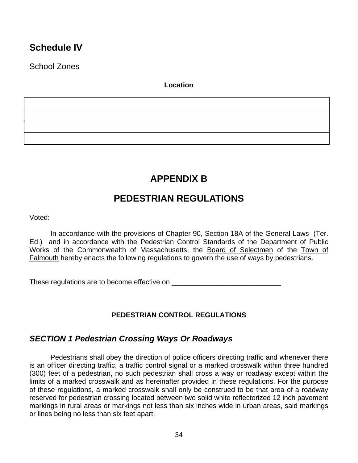# <span id="page-33-0"></span>**Schedule IV**

School Zones

#### **Location**

**APPENDIX B** 

# **PEDESTRIAN REGULATIONS**

Voted:

In accordance with the provisions of Chapter 90, Section 18A of the General Laws (Ter. Ed.) and in accordance with the Pedestrian Control Standards of the Department of Public Works of the Commonwealth of Massachusetts, the Board of Selectmen of the Town of Falmouth hereby enacts the following regulations to govern the use of ways by pedestrians.

These regulations are to become effective on \_\_\_\_\_\_\_\_\_\_\_\_\_\_\_\_\_\_\_\_\_\_\_\_\_\_\_\_

### **PEDESTRIAN CONTROL REGULATIONS**

# *SECTION 1 Pedestrian Crossing Ways Or Roadways*

 Pedestrians shall obey the direction of police officers directing traffic and whenever there is an officer directing traffic, a traffic control signal or a marked crosswalk within three hundred (300) feet of a pedestrian, no such pedestrian shall cross a way or roadway except within the limits of a marked crosswalk and as hereinafter provided in these regulations. For the purpose of these regulations, a marked crosswalk shall only be construed to be that area of a roadway reserved for pedestrian crossing located between two solid white reflectorized 12 inch pavement markings in rural areas or markings not less than six inches wide in urban areas, said markings or lines being no less than six feet apart.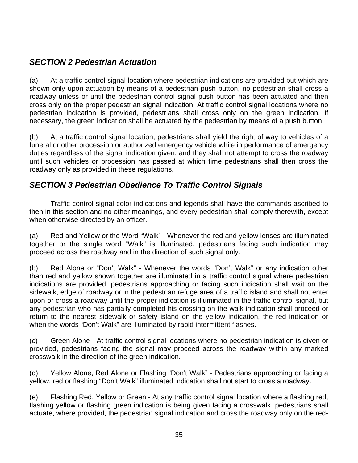# <span id="page-34-0"></span>*SECTION 2 Pedestrian Actuation*

(a) At a traffic control signal location where pedestrian indications are provided but which are shown only upon actuation by means of a pedestrian push button, no pedestrian shall cross a roadway unless or until the pedestrian control signal push button has been actuated and then cross only on the proper pedestrian signal indication. At traffic control signal locations where no pedestrian indication is provided, pedestrians shall cross only on the green indication. If necessary, the green indication shall be actuated by the pedestrian by means of a push button.

(b) At a traffic control signal location, pedestrians shall yield the right of way to vehicles of a funeral or other procession or authorized emergency vehicle while in performance of emergency duties regardless of the signal indication given, and they shall not attempt to cross the roadway until such vehicles or procession has passed at which time pedestrians shall then cross the roadway only as provided in these regulations.

# *SECTION 3 Pedestrian Obedience To Traffic Control Signals*

 Traffic control signal color indications and legends shall have the commands ascribed to then in this section and no other meanings, and every pedestrian shall comply therewith, except when otherwise directed by an officer.

(a) Red and Yellow or the Word "Walk" - Whenever the red and yellow lenses are illuminated together or the single word "Walk" is illuminated, pedestrians facing such indication may proceed across the roadway and in the direction of such signal only.

(b) Red Alone or "Don't Walk" - Whenever the words "Don't Walk" or any indication other than red and yellow shown together are illuminated in a traffic control signal where pedestrian indications are provided, pedestrians approaching or facing such indication shall wait on the sidewalk, edge of roadway or in the pedestrian refuge area of a traffic island and shall not enter upon or cross a roadway until the proper indication is illuminated in the traffic control signal, but any pedestrian who has partially completed his crossing on the walk indication shall proceed or return to the nearest sidewalk or safety island on the yellow indication, the red indication or when the words "Don't Walk" are illuminated by rapid intermittent flashes.

(c) Green Alone - At traffic control signal locations where no pedestrian indication is given or provided, pedestrians facing the signal may proceed across the roadway within any marked crosswalk in the direction of the green indication.

(d) Yellow Alone, Red Alone or Flashing "Don't Walk" - Pedestrians approaching or facing a yellow, red or flashing "Don't Walk" illuminated indication shall not start to cross a roadway.

(e) Flashing Red, Yellow or Green - At any traffic control signal location where a flashing red, flashing yellow or flashing green indication is being given facing a crosswalk, pedestrians shall actuate, where provided, the pedestrian signal indication and cross the roadway only on the red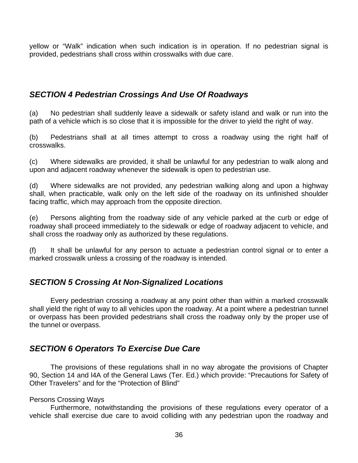<span id="page-35-0"></span>yellow or "Walk" indication when such indication is in operation. If no pedestrian signal is provided, pedestrians shall cross within crosswalks with due care.

# *SECTION 4 Pedestrian Crossings And Use Of Roadways*

(a) No pedestrian shall suddenly leave a sidewalk or safety island and walk or run into the path of a vehicle which is so close that it is impossible for the driver to yield the right of way.

(b) Pedestrians shall at all times attempt to cross a roadway using the right half of crosswalks.

(c) Where sidewalks are provided, it shall be unlawful for any pedestrian to walk along and upon and adjacent roadway whenever the sidewalk is open to pedestrian use.

(d) Where sidewalks are not provided, any pedestrian walking along and upon a highway shall, when practicable, walk only on the left side of the roadway on its unfinished shoulder facing traffic, which may approach from the opposite direction.

(e) Persons alighting from the roadway side of any vehicle parked at the curb or edge of roadway shall proceed immediately to the sidewalk or edge of roadway adjacent to vehicle, and shall cross the roadway only as authorized by these regulations.

(f) It shall be unlawful for any person to actuate a pedestrian control signal or to enter a marked crosswalk unless a crossing of the roadway is intended.

# *SECTION 5 Crossing At Non-Signalized Locations*

 Every pedestrian crossing a roadway at any point other than within a marked crosswalk shall yield the right of way to all vehicles upon the roadway. At a point where a pedestrian tunnel or overpass has been provided pedestrians shall cross the roadway only by the proper use of the tunnel or overpass.

# *SECTION 6 Operators To Exercise Due Care*

 The provisions of these regulations shall in no way abrogate the provisions of Chapter 90, Section 14 and l4A of the General Laws (Ter. Ed.) which provide: "Precautions for Safety of Other Travelers" and for the "Protection of Blind"

#### Persons Crossing Ways

 Furthermore, notwithstanding the provisions of these regulations every operator of a vehicle shall exercise due care to avoid colliding with any pedestrian upon the roadway and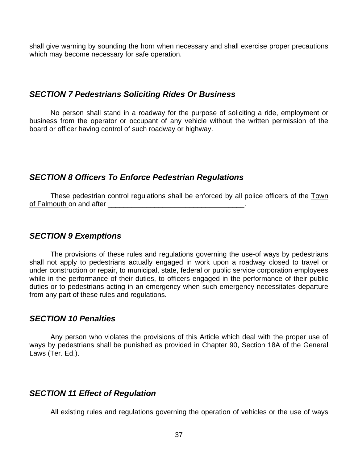<span id="page-36-0"></span>shall give warning by sounding the horn when necessary and shall exercise proper precautions which may become necessary for safe operation.

#### *SECTION 7 Pedestrians Soliciting Rides Or Business*

 No person shall stand in a roadway for the purpose of soliciting a ride, employment or business from the operator or occupant of any vehicle without the written permission of the board or officer having control of such roadway or highway.

### *SECTION 8 Officers To Enforce Pedestrian Regulations*

These pedestrian control regulations shall be enforced by all police officers of the Town of Falmouth on and after **Example 20** and  $\alpha$ 

### *SECTION 9 Exemptions*

 The provisions of these rules and regulations governing the use-of ways by pedestrians shall not apply to pedestrians actually engaged in work upon a roadway closed to travel or under construction or repair, to municipal, state, federal or public service corporation employees while in the performance of their duties, to officers engaged in the performance of their public duties or to pedestrians acting in an emergency when such emergency necessitates departure from any part of these rules and regulations.

#### *SECTION 10 Penalties*

 Any person who violates the provisions of this Article which deal with the proper use of ways by pedestrians shall be punished as provided in Chapter 90, Section 18A of the General Laws (Ter. Ed.).

### *SECTION 11 Effect of Regulation*

All existing rules and regulations governing the operation of vehicles or the use of ways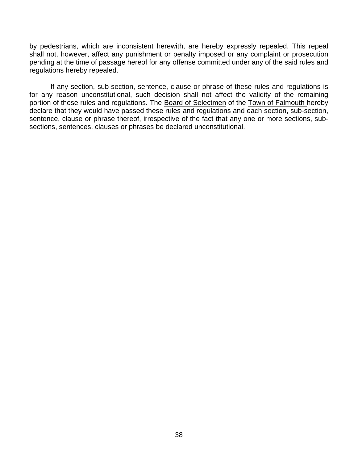by pedestrians, which are inconsistent herewith, are hereby expressly repealed. This repeal shall not, however, affect any punishment or penalty imposed or any complaint or prosecution pending at the time of passage hereof for any offense committed under any of the said rules and regulations hereby repealed.

 If any section, sub-section, sentence, clause or phrase of these rules and regulations is for any reason unconstitutional, such decision shall not affect the validity of the remaining portion of these rules and regulations. The Board of Selectmen of the Town of Falmouth hereby declare that they would have passed these rules and regulations and each section, sub-section, sentence, clause or phrase thereof, irrespective of the fact that any one or more sections, subsections, sentences, clauses or phrases be declared unconstitutional.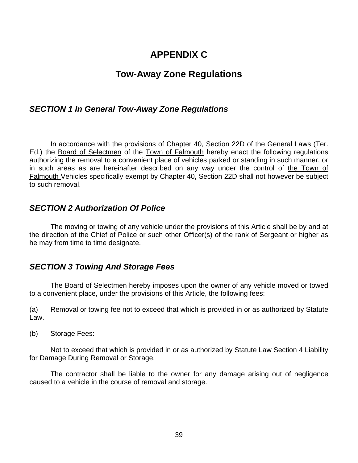# **APPENDIX C**

# **Tow-Away Zone Regulations**

### <span id="page-38-0"></span>*SECTION 1 In General Tow-Away Zone Regulations*

 In accordance with the provisions of Chapter 40, Section 22D of the General Laws (Ter. Ed.) the Board of Selectmen of the Town of Falmouth hereby enact the following regulations authorizing the removal to a convenient place of vehicles parked or standing in such manner, or in such areas as are hereinafter described on any way under the control of the Town of Falmouth Vehicles specifically exempt by Chapter 40, Section 22D shall not however be subject to such removal.

### *SECTION 2 Authorization Of Police*

 The moving or towing of any vehicle under the provisions of this Article shall be by and at the direction of the Chief of Police or such other Officer(s) of the rank of Sergeant or higher as he may from time to time designate.

### *SECTION 3 Towing And Storage Fees*

 The Board of Selectmen hereby imposes upon the owner of any vehicle moved or towed to a convenient place, under the provisions of this Article, the following fees:

(a) Removal or towing fee not to exceed that which is provided in or as authorized by Statute Law.

(b) Storage Fees:

 Not to exceed that which is provided in or as authorized by Statute Law Section 4 Liability for Damage During Removal or Storage.

 The contractor shall be liable to the owner for any damage arising out of negligence caused to a vehicle in the course of removal and storage.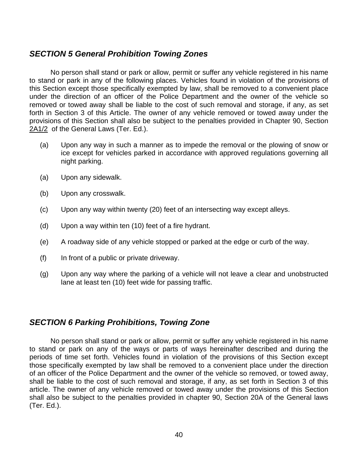### <span id="page-39-0"></span>*SECTION 5 General Prohibition Towing Zones*

 No person shall stand or park or allow, permit or suffer any vehicle registered in his name to stand or park in any of the following places. Vehicles found in violation of the provisions of this Section except those specifically exempted by law, shall be removed to a convenient place under the direction of an officer of the Police Department and the owner of the vehicle so removed or towed away shall be liable to the cost of such removal and storage, if any, as set forth in Section 3 of this Article. The owner of any vehicle removed or towed away under the provisions of this Section shall also be subject to the penalties provided in Chapter 90, Section 2A1/2 of the General Laws (Ter. Ed.).

- (a) Upon any way in such a manner as to impede the removal or the plowing of snow or ice except for vehicles parked in accordance with approved regulations governing all night parking.
- (a) Upon any sidewalk.
- (b) Upon any crosswalk.
- (c) Upon any way within twenty (20) feet of an intersecting way except alleys.
- (d) Upon a way within ten (10) feet of a fire hydrant.
- (e) A roadway side of any vehicle stopped or parked at the edge or curb of the way.
- (f) In front of a public or private driveway.
- (g) Upon any way where the parking of a vehicle will not leave a clear and unobstructed lane at least ten (10) feet wide for passing traffic.

### *SECTION 6 Parking Prohibitions, Towing Zone*

 No person shall stand or park or allow, permit or suffer any vehicle registered in his name to stand or park on any of the ways or parts of ways hereinafter described and during the periods of time set forth. Vehicles found in violation of the provisions of this Section except those specifically exempted by law shall be removed to a convenient place under the direction of an officer of the Police Department and the owner of the vehicle so removed, or towed away, shall be liable to the cost of such removal and storage, if any, as set forth in Section 3 of this article. The owner of any vehicle removed or towed away under the provisions of this Section shall also be subject to the penalties provided in chapter 90, Section 20A of the General laws (Ter. Ed.).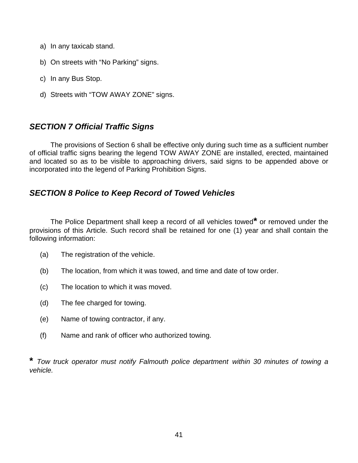- <span id="page-40-0"></span>a) In any taxicab stand.
- b) On streets with "No Parking" signs.
- c) In any Bus Stop.
- d) Streets with "TOW AWAY ZONE" signs.

### *SECTION 7 Official Traffic Signs*

 The provisions of Section 6 shall be effective only during such time as a sufficient number of official traffic signs bearing the legend TOW AWAY ZONE are installed, erected, maintained and located so as to be visible to approaching drivers, said signs to be appended above or incorporated into the legend of Parking Prohibition Signs.

### *SECTION 8 Police to Keep Record of Towed Vehicles*

 The Police Department shall keep a record of all vehicles towed**\*** or removed under the provisions of this Article. Such record shall be retained for one (1) year and shall contain the following information:

- (a) The registration of the vehicle.
- (b) The location, from which it was towed, and time and date of tow order.
- (c) The location to which it was moved.
- (d) The fee charged for towing.
- (e) Name of towing contractor, if any.
- (f) Name and rank of officer who authorized towing.

**\*** *Tow truck operator must notify Falmouth police department within 30 minutes of towing a vehicle.*